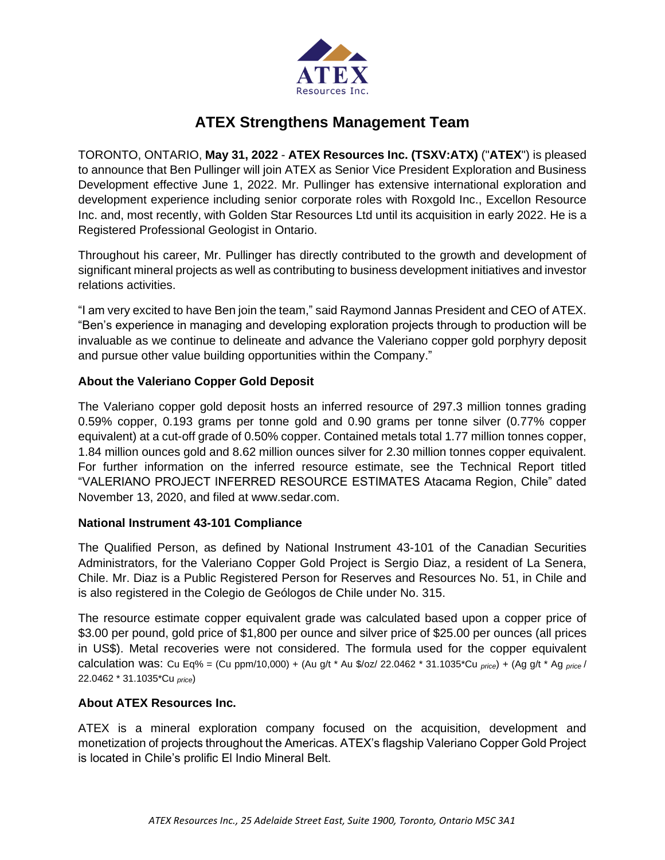

# **ATEX Strengthens Management Team**

TORONTO, ONTARIO, **May 31, 2022** - **ATEX Resources Inc. (TSXV:ATX)** ("**ATEX**") is pleased to announce that Ben Pullinger will join ATEX as Senior Vice President Exploration and Business Development effective June 1, 2022. Mr. Pullinger has extensive international exploration and development experience including senior corporate roles with Roxgold Inc., Excellon Resource Inc. and, most recently, with Golden Star Resources Ltd until its acquisition in early 2022. He is a Registered Professional Geologist in Ontario.

Throughout his career, Mr. Pullinger has directly contributed to the growth and development of significant mineral projects as well as contributing to business development initiatives and investor relations activities.

"I am very excited to have Ben join the team," said Raymond Jannas President and CEO of ATEX. "Ben's experience in managing and developing exploration projects through to production will be invaluable as we continue to delineate and advance the Valeriano copper gold porphyry deposit and pursue other value building opportunities within the Company."

## **About the Valeriano Copper Gold Deposit**

The Valeriano copper gold deposit hosts an inferred resource of 297.3 million tonnes grading 0.59% copper, 0.193 grams per tonne gold and 0.90 grams per tonne silver (0.77% copper equivalent) at a cut-off grade of 0.50% copper. Contained metals total 1.77 million tonnes copper, 1.84 million ounces gold and 8.62 million ounces silver for 2.30 million tonnes copper equivalent. For further information on the inferred resource estimate, see the Technical Report titled "VALERIANO PROJECT INFERRED RESOURCE ESTIMATES Atacama Region, Chile" dated November 13, 2020, and filed at www.sedar.com.

### **National Instrument 43-101 Compliance**

The Qualified Person, as defined by National Instrument 43-101 of the Canadian Securities Administrators, for the Valeriano Copper Gold Project is Sergio Diaz, a resident of La Senera, Chile. Mr. Diaz is a Public Registered Person for Reserves and Resources No. 51, in Chile and is also registered in the Colegio de Geólogos de Chile under No. 315.

The resource estimate copper equivalent grade was calculated based upon a copper price of \$3.00 per pound, gold price of \$1,800 per ounce and silver price of \$25.00 per ounces (all prices in US\$). Metal recoveries were not considered. The formula used for the copper equivalent calculation was: Cu Eq% = (Cu ppm/10,000) + (Au g/t \* Au \$/oz/ 22.0462 \* 31.1035\*Cu *price*) + (Ag g/t \* Ag *price* / 22.0462 \* 31.1035\*Cu *price*)

# **About ATEX Resources Inc.**

ATEX is a mineral exploration company focused on the acquisition, development and monetization of projects throughout the Americas. ATEX's flagship Valeriano Copper Gold Project is located in Chile's prolific El Indio Mineral Belt.